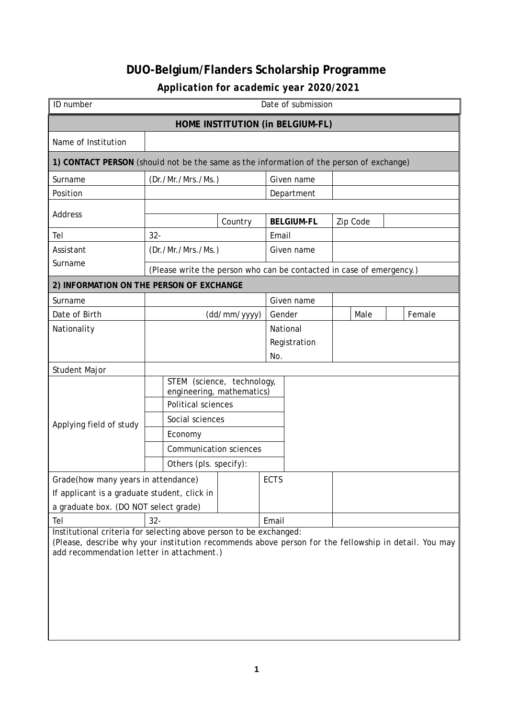## **DUO-Belgium/Flanders Scholarship Programme**

## *Application for academic year 2020/2021*

| ID number                                                                                                                                         | Date of submission                                                   |                                  |       |                   |  |          |  |        |
|---------------------------------------------------------------------------------------------------------------------------------------------------|----------------------------------------------------------------------|----------------------------------|-------|-------------------|--|----------|--|--------|
|                                                                                                                                                   |                                                                      | HOME INSTITUTION (in BELGIUM-FL) |       |                   |  |          |  |        |
| Name of Institution                                                                                                                               |                                                                      |                                  |       |                   |  |          |  |        |
| 1) CONTACT PERSON (should not be the same as the information of the person of exchange)                                                           |                                                                      |                                  |       |                   |  |          |  |        |
| Surname                                                                                                                                           | (Dr./Mr./Mrs./Ms.)                                                   |                                  |       | Given name        |  |          |  |        |
| Position                                                                                                                                          |                                                                      |                                  |       | Department        |  |          |  |        |
| Address                                                                                                                                           |                                                                      | Country                          |       | <b>BELGIUM-FL</b> |  | Zip Code |  |        |
| Tel                                                                                                                                               | $32 -$                                                               |                                  | Email |                   |  |          |  |        |
| Assistant                                                                                                                                         | (Dr./Mr./Mrs./Ms.)                                                   |                                  |       | Given name        |  |          |  |        |
| Surname                                                                                                                                           | (Please write the person who can be contacted in case of emergency.) |                                  |       |                   |  |          |  |        |
| 2) INFORMATION ON THE PERSON OF EXCHANGE                                                                                                          |                                                                      |                                  |       |                   |  |          |  |        |
| Surname                                                                                                                                           |                                                                      |                                  |       | Given name        |  |          |  |        |
| Date of Birth                                                                                                                                     | Gender<br>(dd/mm/yyyy)                                               |                                  |       |                   |  | Male     |  | Female |
| Nationality                                                                                                                                       |                                                                      |                                  |       | National          |  |          |  |        |
|                                                                                                                                                   |                                                                      |                                  |       | Registration      |  |          |  |        |
|                                                                                                                                                   | No.                                                                  |                                  |       |                   |  |          |  |        |
| Student Major                                                                                                                                     | STEM (science, technology,                                           |                                  |       |                   |  |          |  |        |
|                                                                                                                                                   | engineering, mathematics)                                            |                                  |       |                   |  |          |  |        |
|                                                                                                                                                   | Political sciences                                                   |                                  |       |                   |  |          |  |        |
| Applying field of study                                                                                                                           | Social sciences                                                      |                                  |       |                   |  |          |  |        |
|                                                                                                                                                   | Economy                                                              |                                  |       |                   |  |          |  |        |
|                                                                                                                                                   | <b>Communication sciences</b>                                        |                                  |       |                   |  |          |  |        |
|                                                                                                                                                   | Others (pls. specify):                                               |                                  |       |                   |  |          |  |        |
| Grade(how many years in attendance)                                                                                                               |                                                                      | <b>ECTS</b>                      |       |                   |  |          |  |        |
| If applicant is a graduate student, click in                                                                                                      |                                                                      |                                  |       |                   |  |          |  |        |
| a graduate box. (DO NOT select grade)                                                                                                             |                                                                      |                                  |       |                   |  |          |  |        |
| $32 -$<br>Email<br>Tel<br>Institutional criteria for selecting above person to be exchanged:                                                      |                                                                      |                                  |       |                   |  |          |  |        |
| (Please, describe why your institution recommends above person for the fellowship in detail. You may<br>add recommendation letter in attachment.) |                                                                      |                                  |       |                   |  |          |  |        |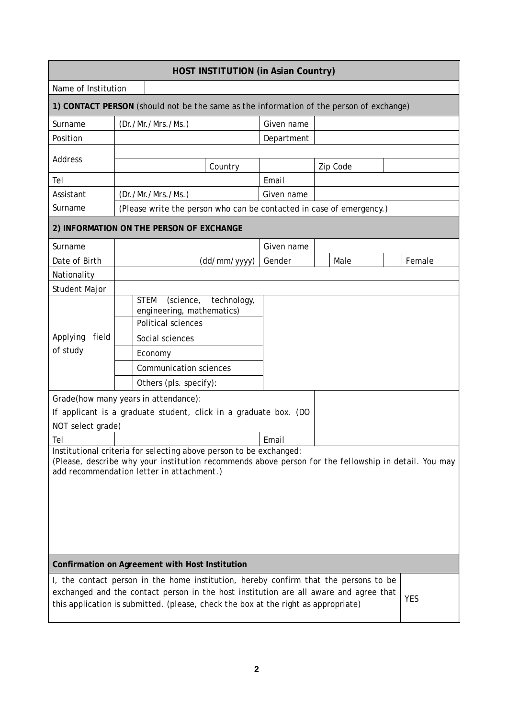| <b>HOST INSTITUTION (in Asian Country)</b>                                                                                                                                                                              |                                          |                                                                                                                                                                                                                                                                     |              |            |  |          |  |            |
|-------------------------------------------------------------------------------------------------------------------------------------------------------------------------------------------------------------------------|------------------------------------------|---------------------------------------------------------------------------------------------------------------------------------------------------------------------------------------------------------------------------------------------------------------------|--------------|------------|--|----------|--|------------|
| Name of Institution                                                                                                                                                                                                     |                                          |                                                                                                                                                                                                                                                                     |              |            |  |          |  |            |
|                                                                                                                                                                                                                         |                                          | 1) CONTACT PERSON (should not be the same as the information of the person of exchange)                                                                                                                                                                             |              |            |  |          |  |            |
| Surname                                                                                                                                                                                                                 |                                          | (Dr./Mr./Mrs./Ms.)                                                                                                                                                                                                                                                  |              | Given name |  |          |  |            |
| Position                                                                                                                                                                                                                |                                          |                                                                                                                                                                                                                                                                     |              | Department |  |          |  |            |
| <b>Address</b>                                                                                                                                                                                                          |                                          |                                                                                                                                                                                                                                                                     | Country      |            |  | Zip Code |  |            |
| Tel                                                                                                                                                                                                                     |                                          |                                                                                                                                                                                                                                                                     |              | Email      |  |          |  |            |
| Assistant                                                                                                                                                                                                               |                                          | (Dr./Mr./Mrs./Ms.)                                                                                                                                                                                                                                                  |              | Given name |  |          |  |            |
| Surname                                                                                                                                                                                                                 |                                          | (Please write the person who can be contacted in case of emergency.)                                                                                                                                                                                                |              |            |  |          |  |            |
|                                                                                                                                                                                                                         | 2) INFORMATION ON THE PERSON OF EXCHANGE |                                                                                                                                                                                                                                                                     |              |            |  |          |  |            |
| Surname                                                                                                                                                                                                                 |                                          |                                                                                                                                                                                                                                                                     |              | Given name |  |          |  |            |
| Date of Birth                                                                                                                                                                                                           |                                          |                                                                                                                                                                                                                                                                     | (dd/mm/yyyy) | Gender     |  | Male     |  | Female     |
| Nationality                                                                                                                                                                                                             |                                          |                                                                                                                                                                                                                                                                     |              |            |  |          |  |            |
| Student Major                                                                                                                                                                                                           |                                          |                                                                                                                                                                                                                                                                     |              |            |  |          |  |            |
| Applying<br>field<br>of study                                                                                                                                                                                           |                                          | <b>STEM</b><br>(science,<br>engineering, mathematics)<br>Political sciences<br>Social sciences<br>Economy<br><b>Communication sciences</b><br>Others (pls. specify):<br>Grade(how many years in attendance):                                                        | technology,  |            |  |          |  |            |
|                                                                                                                                                                                                                         |                                          | If applicant is a graduate student, click in a graduate box. (DO                                                                                                                                                                                                    |              |            |  |          |  |            |
| NOT select grade)<br>Tel                                                                                                                                                                                                |                                          |                                                                                                                                                                                                                                                                     |              | Email      |  |          |  |            |
| Institutional criteria for selecting above person to be exchanged:<br>(Please, describe why your institution recommends above person for the fellowship in detail. You may<br>add recommendation letter in attachment.) |                                          |                                                                                                                                                                                                                                                                     |              |            |  |          |  |            |
|                                                                                                                                                                                                                         |                                          | Confirmation on Agreement with Host Institution                                                                                                                                                                                                                     |              |            |  |          |  |            |
|                                                                                                                                                                                                                         |                                          | I, the contact person in the home institution, hereby confirm that the persons to be<br>exchanged and the contact person in the host institution are all aware and agree that<br>this application is submitted. (please, check the box at the right as appropriate) |              |            |  |          |  | <b>YES</b> |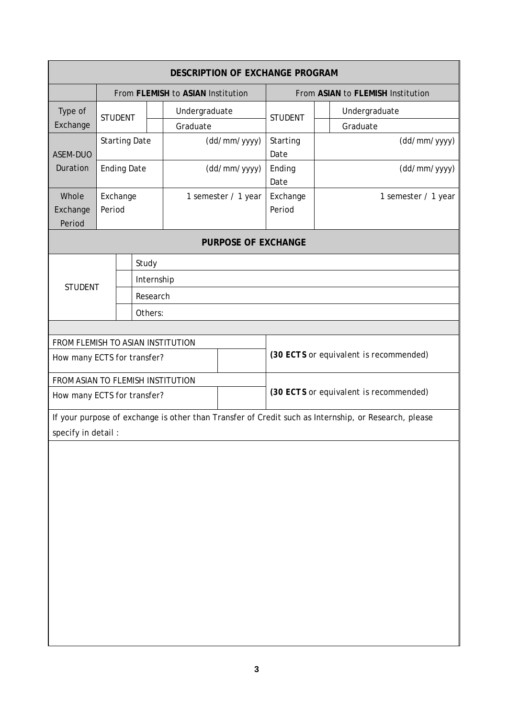| <b>DESCRIPTION OF EXCHANGE PROGRAM</b>                                |                                   |                      |                           |                                   |                                        |                     |  |                                                                                                      |  |
|-----------------------------------------------------------------------|-----------------------------------|----------------------|---------------------------|-----------------------------------|----------------------------------------|---------------------|--|------------------------------------------------------------------------------------------------------|--|
|                                                                       | From FLEMISH to ASIAN Institution |                      |                           | From ASIAN to FLEMISH Institution |                                        |                     |  |                                                                                                      |  |
| Type of<br>Exchange                                                   | <b>STUDENT</b>                    |                      | Undergraduate<br>Graduate |                                   |                                        | <b>STUDENT</b>      |  | Undergraduate<br>Graduate                                                                            |  |
| ASEM-DUO                                                              |                                   | <b>Starting Date</b> |                           |                                   | (dd/mm/yyyy)                           | Starting<br>Date    |  | (dd/mm/yyyy)                                                                                         |  |
| Duration                                                              |                                   | <b>Ending Date</b>   |                           | (dd/mm/yyyy)                      |                                        | Ending<br>Date      |  | (dd/mm/yyyy)                                                                                         |  |
| Whole<br>Exchange<br>Period                                           | Exchange<br>Period                |                      | 1 semester / 1 year       | Exchange<br>Period                |                                        | 1 semester / 1 year |  |                                                                                                      |  |
|                                                                       |                                   |                      |                           |                                   | <b>PURPOSE OF EXCHANGE</b>             |                     |  |                                                                                                      |  |
|                                                                       |                                   | Study                |                           |                                   |                                        |                     |  |                                                                                                      |  |
| <b>STUDENT</b>                                                        |                                   |                      | Internship                |                                   |                                        |                     |  |                                                                                                      |  |
|                                                                       |                                   |                      | Research                  |                                   |                                        |                     |  |                                                                                                      |  |
|                                                                       |                                   | Others:              |                           |                                   |                                        |                     |  |                                                                                                      |  |
| FROM FLEMISH TO ASIAN INSTITUTION                                     |                                   |                      |                           |                                   |                                        |                     |  |                                                                                                      |  |
| How many ECTS for transfer?                                           |                                   |                      |                           |                                   | (30 ECTS or equivalent is recommended) |                     |  |                                                                                                      |  |
| FROM ASIAN TO FLEMISH INSTITUTION                                     |                                   |                      |                           |                                   |                                        |                     |  |                                                                                                      |  |
| (30 ECTS or equivalent is recommended)<br>How many ECTS for transfer? |                                   |                      |                           |                                   |                                        |                     |  |                                                                                                      |  |
| specify in detail :                                                   |                                   |                      |                           |                                   |                                        |                     |  | If your purpose of exchange is other than Transfer of Credit such as Internship, or Research, please |  |
|                                                                       |                                   |                      |                           |                                   |                                        |                     |  |                                                                                                      |  |
|                                                                       |                                   |                      |                           |                                   |                                        |                     |  |                                                                                                      |  |
|                                                                       |                                   |                      |                           |                                   |                                        |                     |  |                                                                                                      |  |
|                                                                       |                                   |                      |                           |                                   |                                        |                     |  |                                                                                                      |  |
|                                                                       |                                   |                      |                           |                                   |                                        |                     |  |                                                                                                      |  |
|                                                                       |                                   |                      |                           |                                   |                                        |                     |  |                                                                                                      |  |
|                                                                       |                                   |                      |                           |                                   |                                        |                     |  |                                                                                                      |  |
|                                                                       |                                   |                      |                           |                                   |                                        |                     |  |                                                                                                      |  |
|                                                                       |                                   |                      |                           |                                   |                                        |                     |  |                                                                                                      |  |
|                                                                       |                                   |                      |                           |                                   |                                        |                     |  |                                                                                                      |  |
|                                                                       |                                   |                      |                           |                                   |                                        |                     |  |                                                                                                      |  |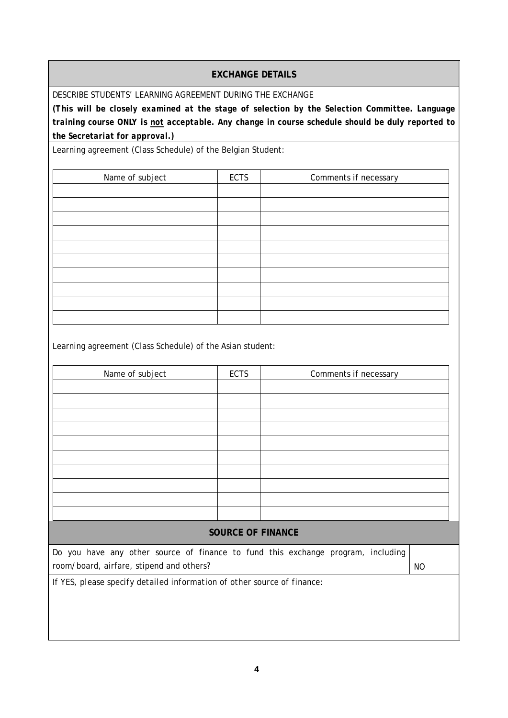## **EXCHANGE DETAILS**

DESCRIBE STUDENTS' LEARNING AGREEMENT DURING THE EXCHANGE

*(This will be closely examined at the stage of selection by the Selection Committee. Language training course ONLY is not acceptable. Any change in course schedule should be duly reported to the Secretariat for approval.)*

Learning agreement (Class Schedule) of the Belgian Student:

| Name of subject | <b>ECTS</b> | Comments if necessary |
|-----------------|-------------|-----------------------|
|                 |             |                       |
|                 |             |                       |
|                 |             |                       |
|                 |             |                       |
|                 |             |                       |
|                 |             |                       |
|                 |             |                       |
|                 |             |                       |
|                 |             |                       |
|                 |             |                       |

Learning agreement (Class Schedule) of the Asian student:

| Name of subject                                                                  | <b>ECTS</b>              | Comments if necessary |  |  |  |  |
|----------------------------------------------------------------------------------|--------------------------|-----------------------|--|--|--|--|
|                                                                                  |                          |                       |  |  |  |  |
|                                                                                  |                          |                       |  |  |  |  |
|                                                                                  |                          |                       |  |  |  |  |
|                                                                                  |                          |                       |  |  |  |  |
|                                                                                  |                          |                       |  |  |  |  |
|                                                                                  |                          |                       |  |  |  |  |
|                                                                                  |                          |                       |  |  |  |  |
|                                                                                  |                          |                       |  |  |  |  |
|                                                                                  |                          |                       |  |  |  |  |
|                                                                                  |                          |                       |  |  |  |  |
|                                                                                  |                          |                       |  |  |  |  |
|                                                                                  |                          |                       |  |  |  |  |
|                                                                                  |                          |                       |  |  |  |  |
|                                                                                  |                          |                       |  |  |  |  |
|                                                                                  | <b>SOURCE OF FINANCE</b> |                       |  |  |  |  |
| Do you have any other source of finance to fund this exchange program, including |                          |                       |  |  |  |  |
| room/board, airfare, stipend and others?                                         |                          |                       |  |  |  |  |
| If YES, please specify detailed information of other source of finance:          |                          |                       |  |  |  |  |
|                                                                                  |                          |                       |  |  |  |  |
|                                                                                  |                          |                       |  |  |  |  |
|                                                                                  |                          |                       |  |  |  |  |
|                                                                                  |                          |                       |  |  |  |  |